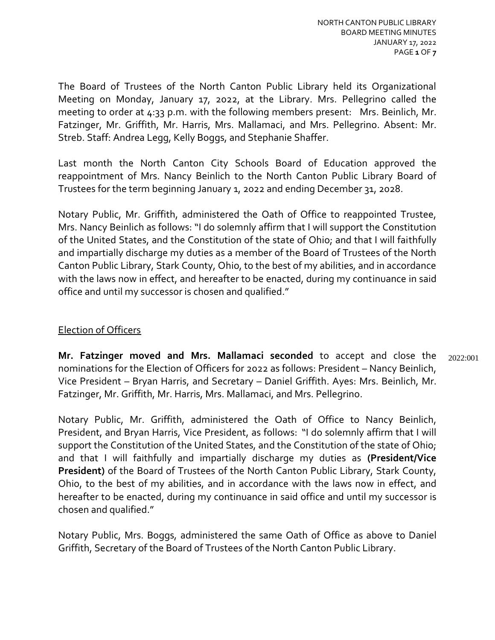The Board of Trustees of the North Canton Public Library held its Organizational Meeting on Monday, January 17, 2022, at the Library. Mrs. Pellegrino called the meeting to order at 4:33 p.m. with the following members present: Mrs. Beinlich, Mr. Fatzinger, Mr. Griffith, Mr. Harris, Mrs. Mallamaci, and Mrs. Pellegrino. Absent: Mr. Streb. Staff: Andrea Legg, Kelly Boggs, and Stephanie Shaffer.

Last month the North Canton City Schools Board of Education approved the reappointment of Mrs. Nancy Beinlich to the North Canton Public Library Board of Trustees for the term beginning January 1, 2022 and ending December 31, 2028.

Notary Public, Mr. Griffith, administered the Oath of Office to reappointed Trustee, Mrs. Nancy Beinlich as follows: "I do solemnly affirm that I will support the Constitution of the United States, and the Constitution of the state of Ohio; and that I will faithfully and impartially discharge my duties as a member of the Board of Trustees of the North Canton Public Library, Stark County, Ohio, to the best of my abilities, and in accordance with the laws now in effect, and hereafter to be enacted, during my continuance in said office and until my successor is chosen and qualified."

# Election of Officers

**Mr. Fatzinger moved and Mrs. Mallamaci seconded** to accept and close the nominations for the Election of Officers for 2022 as follows: President – Nancy Beinlich, Vice President – Bryan Harris, and Secretary – Daniel Griffith. Ayes: Mrs. Beinlich, Mr. Fatzinger, Mr. Griffith, Mr. Harris, Mrs. Mallamaci, and Mrs. Pellegrino. 2022:001

Notary Public, Mr. Griffith, administered the Oath of Office to Nancy Beinlich, President, and Bryan Harris, Vice President, as follows: "I do solemnly affirm that I will support the Constitution of the United States, and the Constitution of the state of Ohio; and that I will faithfully and impartially discharge my duties as **(President/Vice President)** of the Board of Trustees of the North Canton Public Library, Stark County, Ohio, to the best of my abilities, and in accordance with the laws now in effect, and hereafter to be enacted, during my continuance in said office and until my successor is chosen and qualified."

Notary Public, Mrs. Boggs, administered the same Oath of Office as above to Daniel Griffith, Secretary of the Board of Trustees of the North Canton Public Library.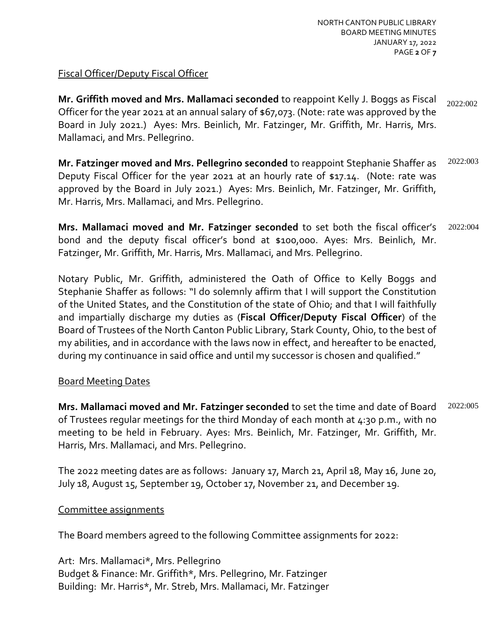#### Fiscal Officer/Deputy Fiscal Officer

**Mr. Griffith moved and Mrs. Mallamaci seconded** to reappoint Kelly J. Boggs as Fiscal Officer for the year 2021 at an annual salary of \$67,073. (Note: rate was approved by the Board in July 2021.) Ayes: Mrs. Beinlich, Mr. Fatzinger, Mr. Griffith, Mr. Harris, Mrs. Mallamaci, and Mrs. Pellegrino. 2022:002

**Mr. Fatzinger moved and Mrs. Pellegrino seconded** to reappoint Stephanie Shaffer as Deputy Fiscal Officer for the year 2021 at an hourly rate of \$17.14. (Note: rate was approved by the Board in July 2021.) Ayes: Mrs. Beinlich, Mr. Fatzinger, Mr. Griffith, Mr. Harris, Mrs. Mallamaci, and Mrs. Pellegrino. 2022:003

**Mrs. Mallamaci moved and Mr. Fatzinger seconded** to set both the fiscal officer's bond and the deputy fiscal officer's bond at \$100,000. Ayes: Mrs. Beinlich, Mr. Fatzinger, Mr. Griffith, Mr. Harris, Mrs. Mallamaci, and Mrs. Pellegrino. 2022:004

Notary Public, Mr. Griffith, administered the Oath of Office to Kelly Boggs and Stephanie Shaffer as follows: "I do solemnly affirm that I will support the Constitution of the United States, and the Constitution of the state of Ohio; and that I will faithfully and impartially discharge my duties as (**Fiscal Officer/Deputy Fiscal Officer**) of the Board of Trustees of the North Canton Public Library, Stark County, Ohio, to the best of my abilities, and in accordance with the laws now in effect, and hereafter to be enacted, during my continuance in said office and until my successor is chosen and qualified."

#### Board Meeting Dates

**Mrs. Mallamaci moved and Mr. Fatzinger seconded** to set the time and date of Board of Trustees regular meetings for the third Monday of each month at 4:30 p.m., with no meeting to be held in February. Ayes: Mrs. Beinlich, Mr. Fatzinger, Mr. Griffith, Mr. Harris, Mrs. Mallamaci, and Mrs. Pellegrino. 2022:005

The 2022 meeting dates are as follows: January 17, March 21, April 18, May 16, June 20, July 18, August 15, September 19, October 17, November 21, and December 19.

#### Committee assignments

The Board members agreed to the following Committee assignments for 2022:

Art: Mrs. Mallamaci\*, Mrs. Pellegrino Budget & Finance: Mr. Griffith\*, Mrs. Pellegrino, Mr. Fatzinger Building: Mr. Harris\*, Mr. Streb, Mrs. Mallamaci, Mr. Fatzinger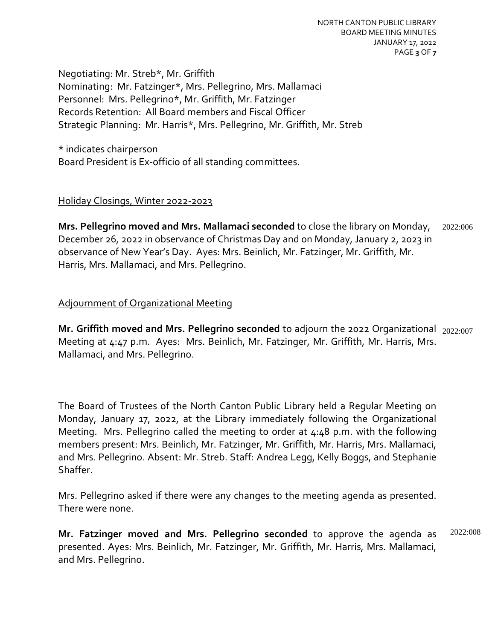Negotiating: Mr. Streb\*, Mr. Griffith Nominating: Mr. Fatzinger\*, Mrs. Pellegrino, Mrs. Mallamaci Personnel: Mrs. Pellegrino\*, Mr. Griffith, Mr. Fatzinger Records Retention: All Board members and Fiscal Officer Strategic Planning: Mr. Harris\*, Mrs. Pellegrino, Mr. Griffith, Mr. Streb

\* indicates chairperson Board President is Ex-officio of all standing committees.

#### Holiday Closings, Winter 2022-2023

**Mrs. Pellegrino moved and Mrs. Mallamaci seconded** to close the library on Monday, December 26, 2022 in observance of Christmas Day and on Monday, January 2, 2023 in observance of New Year's Day. Ayes: Mrs. Beinlich, Mr. Fatzinger, Mr. Griffith, Mr. Harris, Mrs. Mallamaci, and Mrs. Pellegrino. 2022:006

# Adjournment of Organizational Meeting

**Mr. Griffith moved and Mrs. Pellegrino seconded** to adjourn the 2022 Organizational 2022:007 Meeting at 4:47 p.m. Ayes: Mrs. Beinlich, Mr. Fatzinger, Mr. Griffith, Mr. Harris, Mrs. Mallamaci, and Mrs. Pellegrino.

The Board of Trustees of the North Canton Public Library held a Regular Meeting on Monday, January 17, 2022, at the Library immediately following the Organizational Meeting. Mrs. Pellegrino called the meeting to order at 4:48 p.m. with the following members present: Mrs. Beinlich, Mr. Fatzinger, Mr. Griffith, Mr. Harris, Mrs. Mallamaci, and Mrs. Pellegrino. Absent: Mr. Streb. Staff: Andrea Legg, Kelly Boggs, and Stephanie Shaffer.

Mrs. Pellegrino asked if there were any changes to the meeting agenda as presented. There were none.

**Mr. Fatzinger moved and Mrs. Pellegrino seconded** to approve the agenda as presented. Ayes: Mrs. Beinlich, Mr. Fatzinger, Mr. Griffith, Mr. Harris, Mrs. Mallamaci, and Mrs. Pellegrino. 2022:008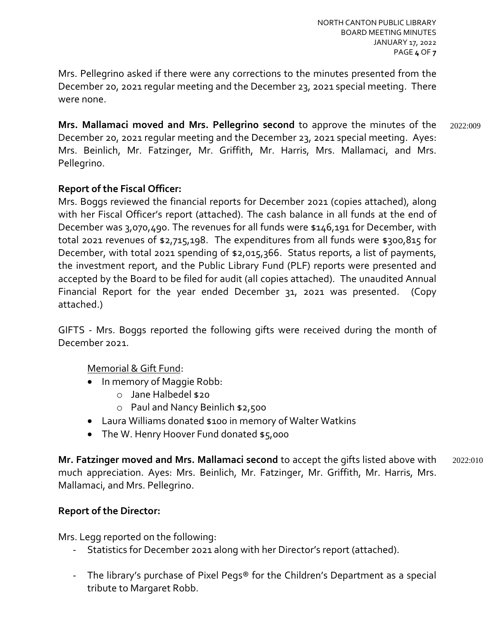Mrs. Pellegrino asked if there were any corrections to the minutes presented from the December 20, 2021 regular meeting and the December 23, 2021 special meeting. There were none.

**Mrs. Mallamaci moved and Mrs. Pellegrino second** to approve the minutes of the December 20, 2021 regular meeting and the December 23, 2021 special meeting. Ayes: Mrs. Beinlich, Mr. Fatzinger, Mr. Griffith, Mr. Harris, Mrs. Mallamaci, and Mrs. Pellegrino. 2022:009

## **Report of the Fiscal Officer:**

Mrs. Boggs reviewed the financial reports for December 2021 (copies attached), along with her Fiscal Officer's report (attached). The cash balance in all funds at the end of December was 3,070,490. The revenues for all funds were \$146,191 for December, with total 2021 revenues of \$2,715,198. The expenditures from all funds were \$300,815 for December, with total 2021 spending of \$2,015,366. Status reports, a list of payments, the investment report, and the Public Library Fund (PLF) reports were presented and accepted by the Board to be filed for audit (all copies attached). The unaudited Annual Financial Report for the year ended December 31, 2021 was presented. (Copy attached.)

GIFTS - Mrs. Boggs reported the following gifts were received during the month of December 2021.

Memorial & Gift Fund:

- In memory of Maggie Robb:
	- o Jane Halbedel \$20
	- o Paul and Nancy Beinlich \$2,500
- Laura Williams donated \$100 in memory of Walter Watkins
- The W. Henry Hoover Fund donated \$5,000

**Mr. Fatzinger moved and Mrs. Mallamaci second** to accept the gifts listed above with much appreciation. Ayes: Mrs. Beinlich, Mr. Fatzinger, Mr. Griffith, Mr. Harris, Mrs. Mallamaci, and Mrs. Pellegrino. 2022:010

#### **Report of the Director:**

Mrs. Legg reported on the following:

- Statistics for December 2021 along with her Director's report (attached).
- The library's purchase of Pixel Pegs® for the Children's Department as a special tribute to Margaret Robb.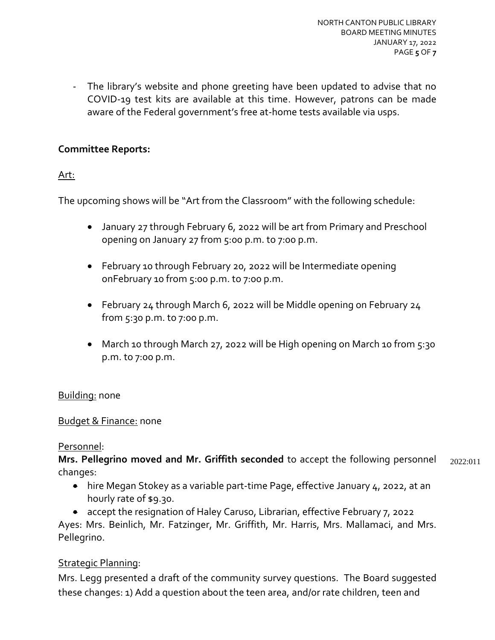- The library's website and phone greeting have been updated to advise that no COVID-19 test kits are available at this time. However, patrons can be made aware of the Federal government's free at-home tests available via usps.

## **Committee Reports:**

## Art:

The upcoming shows will be "Art from the Classroom" with the following schedule:

- January 27 through February 6, 2022 will be art from Primary and Preschool opening on January 27 from 5:00 p.m. to 7:00 p.m.
- February 10 through February 20, 2022 will be Intermediate opening onFebruary 10 from 5:00 p.m. to 7:00 p.m.
- February 24 through March 6, 2022 will be Middle opening on February 24 from 5:30 p.m. to 7:00 p.m.
- March 10 through March 27, 2022 will be High opening on March 10 from 5:30 p.m. to 7:00 p.m.

## Building: none

## Budget & Finance: none

## Personnel:

**Mrs. Pellegrino moved and Mr. Griffith seconded** to accept the following personnel changes: 2022:011

- hire Megan Stokey as a variable part-time Page, effective January 4, 2022, at an hourly rate of \$9.30.
- accept the resignation of Haley Caruso, Librarian, effective February 7, 2022

Ayes: Mrs. Beinlich, Mr. Fatzinger, Mr. Griffith, Mr. Harris, Mrs. Mallamaci, and Mrs. Pellegrino.

## Strategic Planning:

Mrs. Legg presented a draft of the community survey questions. The Board suggested these changes: 1) Add a question about the teen area, and/or rate children, teen and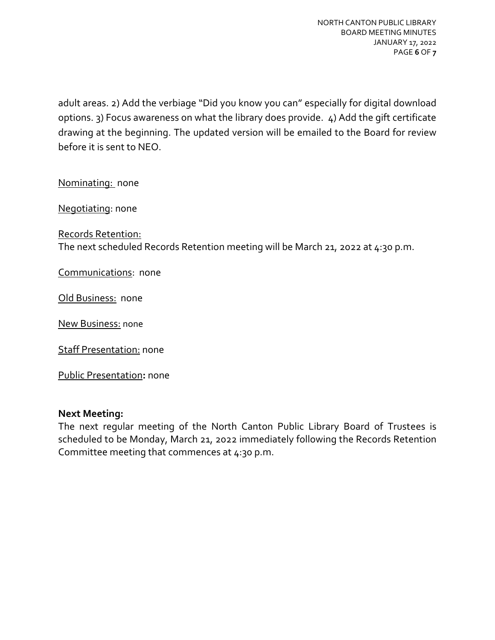adult areas. 2) Add the verbiage "Did you know you can" especially for digital download options. 3) Focus awareness on what the library does provide. 4) Add the gift certificate drawing at the beginning. The updated version will be emailed to the Board for review before it is sent to NEO.

Nominating: none

Negotiating: none

Records Retention: The next scheduled Records Retention meeting will be March 21, 2022 at 4:30 p.m.

Communications: none

Old Business: none

New Business: none

Staff Presentation: none

Public Presentation**:** none

#### **Next Meeting:**

The next regular meeting of the North Canton Public Library Board of Trustees is scheduled to be Monday, March 21, 2022 immediately following the Records Retention Committee meeting that commences at 4:30 p.m.